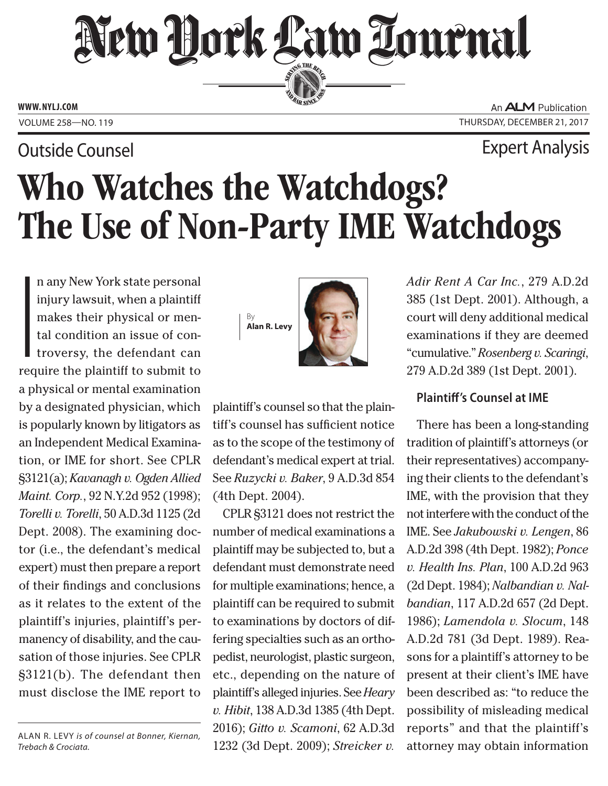## New Hork Law Lournal SERVING THE BEN

**ED BAR SINCE 188** 

**www. NYLJ.com**

An **ALM** Publication VOLUME 258-NO. 119 THURSDAY, DECEMBER 21, 2017

Outside Counsel Expert Analysis

# Who Watches the Watchdogs? The Use of Non-Party IME Watchdogs

By **Alan R. Levy**

**I**<br>I<br>req n any New York state personal injury lawsuit, when a plaintiff makes their physical or mental condition an issue of controversy, the defendant can require the plaintiff to submit to a physical or mental examination by a designated physician, which is popularly known by litigators as an Independent Medical Examination, or IME for short. See CPLR §3121(a); *Kavanagh v. Ogden Allied Maint. Corp.*, 92 N.Y.2d 952 (1998); *Torelli v. Torelli*, 50 A.D.3d 1125 (2d Dept. 2008). The examining doctor (i.e., the defendant's medical expert) must then prepare a report of their findings and conclusions as it relates to the extent of the plaintiff's injuries, plaintiff's permanency of disability, and the causation of those injuries. See CPLR §3121(b). The defendant then must disclose the IME report to

Alan R. Levy *is of counsel at Bonner, Kiernan, Trebach & Crociata.*



tiff's counsel has sufficient notice as to the scope of the testimony of defendant's medical expert at trial. See *Ruzycki v. Baker*, 9 A.D.3d 854 (4th Dept. 2004).

CPLR §3121 does not restrict the number of medical examinations a plaintiff may be subjected to, but a defendant must demonstrate need for multiple examinations; hence, a plaintiff can be required to submit to examinations by doctors of differing specialties such as an orthopedist, neurologist, plastic surgeon, etc., depending on the nature of plaintiff's alleged injuries. See *Heary v. Hibit*, 138 A.D.3d 1385 (4th Dept. 2016); *Gitto v. Scamoni*, 62 A.D.3d 1232 (3d Dept. 2009); *Streicker v.* 

*Adir Rent A Car Inc.*, 279 A.D.2d 385 (1st Dept. 2001). Although, a court will deny additional medical examinations if they are deemed "cumulative." *Rosenberg v. Scaringi*, 279 A.D.2d 389 (1st Dept. 2001).

### **Plaintiff's Counsel at IME**

There has been a long-standing tradition of plaintiff's attorneys (or their representatives) accompanying their clients to the defendant's IME, with the provision that they not interfere with the conduct of the IME. See *Jakubowski v. Lengen*, 86 A.D.2d 398 (4th Dept. 1982); *Ponce v. Health Ins. Plan*, 100 A.D.2d 963 (2d Dept. 1984); *Nalbandian v. Nalbandian*, 117 A.D.2d 657 (2d Dept. 1986); *Lamendola v. Slocum*, 148 A.D.2d 781 (3d Dept. 1989). Reasons for a plaintiff's attorney to be present at their client's IME have been described as: "to reduce the possibility of misleading medical reports" and that the plaintiff's attorney may obtain information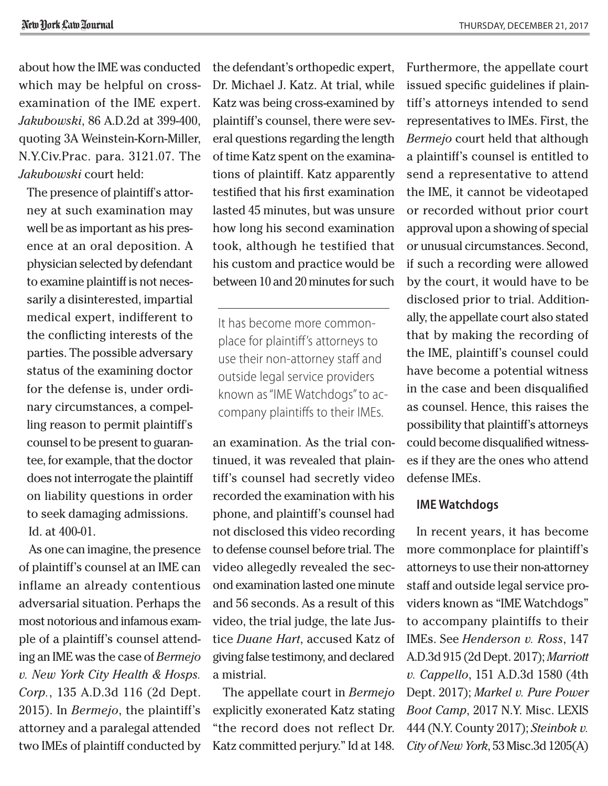about how the IME was conducted which may be helpful on crossexamination of the IME expert. *Jakubowski*, 86 A.D.2d at 399-400, quoting 3A Weinstein-Korn-Miller, N.Y.Civ.Prac. para. 3121.07. The *Jakubowski* court held:

The presence of plaintiff's attorney at such examination may well be as important as his presence at an oral deposition. A physician selected by defendant to examine plaintiff is not necessarily a disinterested, impartial medical expert, indifferent to the conflicting interests of the parties. The possible adversary status of the examining doctor for the defense is, under ordinary circumstances, a compelling reason to permit plaintiff's counsel to be present to guarantee, for example, that the doctor does not interrogate the plaintiff on liability questions in order to seek damaging admissions. Id. at 400-01.

As one can imagine, the presence of plaintiff's counsel at an IME can inflame an already contentious adversarial situation. Perhaps the most notorious and infamous example of a plaintiff's counsel attending an IME was the case of *Bermejo v. New York City Health & Hosps. Corp.*, 135 A.D.3d 116 (2d Dept. 2015). In *Bermejo*, the plaintiff's attorney and a paralegal attended two IMEs of plaintiff conducted by the defendant's orthopedic expert, Dr. Michael J. Katz. At trial, while Katz was being cross-examined by plaintiff's counsel, there were several questions regarding the length of time Katz spent on the examinations of plaintiff. Katz apparently testified that his first examination lasted 45 minutes, but was unsure how long his second examination took, although he testified that his custom and practice would be between 10 and 20 minutes for such

It has become more commonplace for plaintiff's attorneys to use their non-attorney staff and outside legal service providers known as "IME Watchdogs" to accompany plaintiffs to their IMEs.

an examination. As the trial continued, it was revealed that plaintiff's counsel had secretly video recorded the examination with his phone, and plaintiff's counsel had not disclosed this video recording to defense counsel before trial. The video allegedly revealed the second examination lasted one minute and 56 seconds. As a result of this video, the trial judge, the late Justice *Duane Hart*, accused Katz of giving false testimony, and declared a mistrial.

The appellate court in *Bermejo* explicitly exonerated Katz stating "the record does not reflect Dr. Katz committed perjury." Id at 148.

Furthermore, the appellate court issued specific guidelines if plaintiff's attorneys intended to send representatives to IMEs. First, the *Bermejo* court held that although a plaintiff's counsel is entitled to send a representative to attend the IME, it cannot be videotaped or recorded without prior court approval upon a showing of special or unusual circumstances. Second, if such a recording were allowed by the court, it would have to be disclosed prior to trial. Additionally, the appellate court also stated that by making the recording of the IME, plaintiff's counsel could have become a potential witness in the case and been disqualified as counsel. Hence, this raises the possibility that plaintiff's attorneys could become disqualified witnesses if they are the ones who attend defense IMEs.

#### **IME Watchdogs**

In recent years, it has become more commonplace for plaintiff's attorneys to use their non-attorney staff and outside legal service providers known as "IME Watchdogs" to accompany plaintiffs to their IMEs. See *Henderson v. Ross*, 147 A.D.3d 915 (2d Dept. 2017); *Marriott v. Cappello*, 151 A.D.3d 1580 (4th Dept. 2017); *Markel v. Pure Power Boot Camp*, 2017 N.Y. Misc. LEXIS 444 (N.Y. County 2017); *Steinbok v. City of New York*, 53 Misc.3d 1205(A)